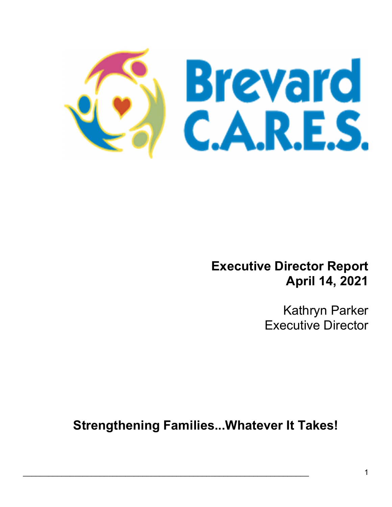

## Executive Director Report April 14, 2021

Kathryn Parker Executive Director

Strengthening Families...Whatever It Takes!

 $\mathcal{L}_\mathcal{L} = \mathcal{L}_\mathcal{L} = \mathcal{L}_\mathcal{L} = \mathcal{L}_\mathcal{L} = \mathcal{L}_\mathcal{L} = \mathcal{L}_\mathcal{L} = \mathcal{L}_\mathcal{L} = \mathcal{L}_\mathcal{L} = \mathcal{L}_\mathcal{L} = \mathcal{L}_\mathcal{L} = \mathcal{L}_\mathcal{L} = \mathcal{L}_\mathcal{L} = \mathcal{L}_\mathcal{L} = \mathcal{L}_\mathcal{L} = \mathcal{L}_\mathcal{L} = \mathcal{L}_\mathcal{L} = \mathcal{L}_\mathcal{L}$ 

Ξ